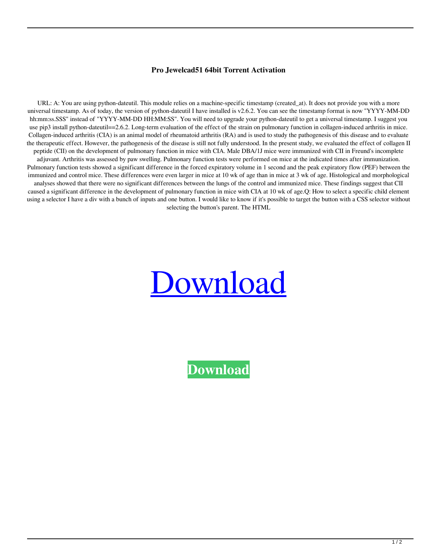## **Pro Jewelcad51 64bit Torrent Activation**

URL: A: You are using python-dateutil. This module relies on a machine-specific timestamp (created\_at). It does not provide you with a more universal timestamp. As of today, the version of python-dateutil I have installed is v2.6.2. You can see the timestamp format is now "YYYY-MM-DD hh:mm:ss.SSS" instead of "YYYY-MM-DD HH:MM:SS". You will need to upgrade your python-dateutil to get a universal timestamp. I suggest you use pip3 install python-dateutil==2.6.2. Long-term evaluation of the effect of the strain on pulmonary function in collagen-induced arthritis in mice. Collagen-induced arthritis (CIA) is an animal model of rheumatoid arthritis (RA) and is used to study the pathogenesis of this disease and to evaluate the therapeutic effect. However, the pathogenesis of the disease is still not fully understood. In the present study, we evaluated the effect of collagen II peptide (CII) on the development of pulmonary function in mice with CIA. Male DBA/1J mice were immunized with CII in Freund's incomplete adjuvant. Arthritis was assessed by paw swelling. Pulmonary function tests were performed on mice at the indicated times after immunization. Pulmonary function tests showed a significant difference in the forced expiratory volume in 1 second and the peak expiratory flow (PEF) between the immunized and control mice. These differences were even larger in mice at 10 wk of age than in mice at 3 wk of age. Histological and morphological analyses showed that there were no significant differences between the lungs of the control and immunized mice. These findings suggest that CII caused a significant difference in the development of pulmonary function in mice with CIA at 10 wk of age.Q: How to select a specific child element using a selector I have a div with a bunch of inputs and one button. I would like to know if it's possible to target the button with a CSS selector without selecting the button's parent. The HTML



**[Download](http://evacdir.com/magnetometer.cargeenan?ZG93bmxvYWR8WFA1TVdvek0zeDhNVFkxTWpjME1EZzJObng4TWpVM05IeDhLRTBwSUhKbFlXUXRZbXh2WnlCYlJtRnpkQ0JIUlU1ZA=&neil=&amV3ZWxjYWQ1MWNyYWNrc29mdHdhcmVmcmVlZG93bmxvYWQamV=starteaching)**